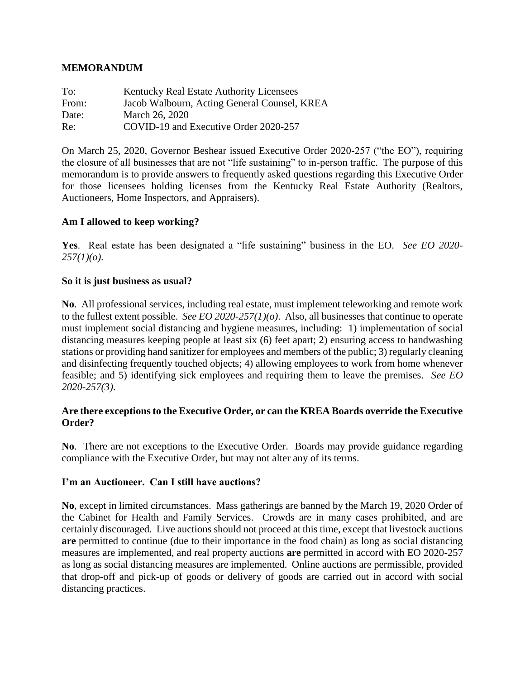# **MEMORANDUM**

| To:   | Kentucky Real Estate Authority Licensees     |
|-------|----------------------------------------------|
| From: | Jacob Walbourn, Acting General Counsel, KREA |
| Date: | March 26, 2020                               |
| Re:   | COVID-19 and Executive Order 2020-257        |

On March 25, 2020, Governor Beshear issued Executive Order 2020-257 ("the EO"), requiring the closure of all businesses that are not "life sustaining" to in-person traffic. The purpose of this memorandum is to provide answers to frequently asked questions regarding this Executive Order for those licensees holding licenses from the Kentucky Real Estate Authority (Realtors, Auctioneers, Home Inspectors, and Appraisers).

## **Am I allowed to keep working?**

**Yes**. Real estate has been designated a "life sustaining" business in the EO. *See EO 2020- 257(1)(o)*.

#### **So it is just business as usual?**

**No**. All professional services, including real estate, must implement teleworking and remote work to the fullest extent possible. *See EO 2020-257(1)(o)*. Also, all businesses that continue to operate must implement social distancing and hygiene measures, including: 1) implementation of social distancing measures keeping people at least six (6) feet apart; 2) ensuring access to handwashing stations or providing hand sanitizer for employees and members of the public; 3) regularly cleaning and disinfecting frequently touched objects; 4) allowing employees to work from home whenever feasible; and 5) identifying sick employees and requiring them to leave the premises. *See EO 2020-257(3)*.

## **Are there exceptions to the Executive Order, or can the KREA Boards override the Executive Order?**

**No**. There are not exceptions to the Executive Order. Boards may provide guidance regarding compliance with the Executive Order, but may not alter any of its terms.

#### **I'm an Auctioneer. Can I still have auctions?**

**No**, except in limited circumstances. Mass gatherings are banned by the March 19, 2020 Order of the Cabinet for Health and Family Services. Crowds are in many cases prohibited, and are certainly discouraged. Live auctions should not proceed at this time, except that livestock auctions **are** permitted to continue (due to their importance in the food chain) as long as social distancing measures are implemented, and real property auctions **are** permitted in accord with EO 2020-257 as long as social distancing measures are implemented. Online auctions are permissible, provided that drop-off and pick-up of goods or delivery of goods are carried out in accord with social distancing practices.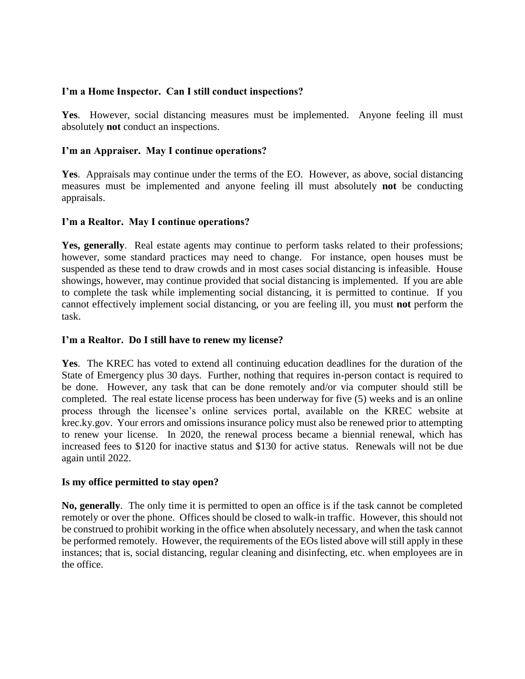# **I'm a Home Inspector. Can I still conduct inspections?**

**Yes**. However, social distancing measures must be implemented. Anyone feeling ill must absolutely **not** conduct an inspections.

# **I'm an Appraiser. May I continue operations?**

**Yes**. Appraisals may continue under the terms of the EO. However, as above, social distancing measures must be implemented and anyone feeling ill must absolutely **not** be conducting appraisals.

## **I'm a Realtor. May I continue operations?**

**Yes, generally**. Real estate agents may continue to perform tasks related to their professions; however, some standard practices may need to change. For instance, open houses must be suspended as these tend to draw crowds and in most cases social distancing is infeasible. House showings, however, may continue provided that social distancing is implemented. If you are able to complete the task while implementing social distancing, it is permitted to continue. If you cannot effectively implement social distancing, or you are feeling ill, you must **not** perform the task.

### **I'm a Realtor. Do I still have to renew my license?**

**Yes**. The KREC has voted to extend all continuing education deadlines for the duration of the State of Emergency plus 30 days. Further, nothing that requires in-person contact is required to be done. However, any task that can be done remotely and/or via computer should still be completed. The real estate license process has been underway for five (5) weeks and is an online process through the licensee's online services portal, available on the KREC website at krec.ky.gov. Your errors and omissions insurance policy must also be renewed prior to attempting to renew your license. In 2020, the renewal process became a biennial renewal, which has increased fees to \$120 for inactive status and \$130 for active status. Renewals will not be due again until 2022.

## **Is my office permitted to stay open?**

**No, generally**. The only time it is permitted to open an office is if the task cannot be completed remotely or over the phone. Offices should be closed to walk-in traffic. However, this should not be construed to prohibit working in the office when absolutely necessary, and when the task cannot be performed remotely. However, the requirements of the EOs listed above will still apply in these instances; that is, social distancing, regular cleaning and disinfecting, etc. when employees are in the office.